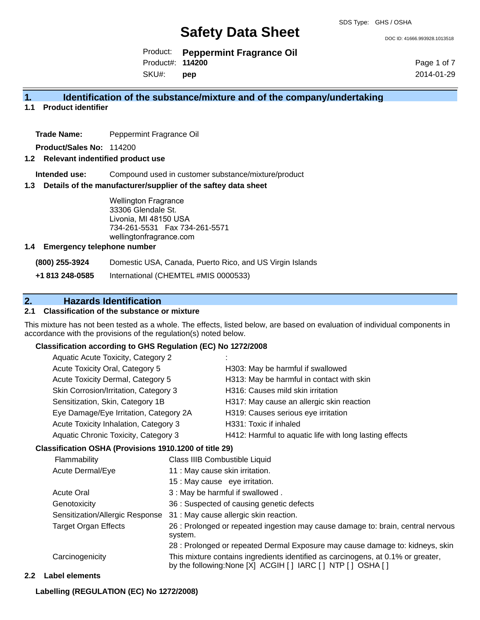DOC ID: 41666.993928.1013518

Product: **Peppermint Fragrance Oil** Product#: **114200**

SKU#: **pep** Page 1 of 7 2014-01-29

#### **1. Identification of the substance/mixture and of the company/undertaking**

**1.1 Product identifier**

**Trade Name:** Peppermint Fragrance Oil

**Product/Sales No:** 114200

#### **1.2 Relevant indentified product use**

**Intended use:** Compound used in customer substance/mixture/product

#### **1.3 Details of the manufacturer/supplier of the saftey data sheet**

Wellington Fragrance 33306 Glendale St. Livonia, MI 48150 USA 734-261-5531 Fax 734-261-5571 wellingtonfragrance.com

#### **1.4 Emergency telephone number**

**(800) 255-3924** Domestic USA, Canada, Puerto Rico, and US Virgin Islands

**+1 813 248-0585** International (CHEMTEL #MIS 0000533)

#### **2. Hazards Identification**

#### **2.1 Classification of the substance or mixture**

This mixture has not been tested as a whole. The effects, listed below, are based on evaluation of individual components in accordance with the provisions of the regulation(s) noted below.

#### **Classification according to GHS Regulation (EC) No 1272/2008**

| Aquatic Acute Toxicity, Category 2     | ٠.                                                      |
|----------------------------------------|---------------------------------------------------------|
| Acute Toxicity Oral, Category 5        | H303: May be harmful if swallowed                       |
| Acute Toxicity Dermal, Category 5      | H313: May be harmful in contact with skin               |
| Skin Corrosion/Irritation, Category 3  | H316: Causes mild skin irritation                       |
| Sensitization, Skin, Category 1B       | H317: May cause an allergic skin reaction               |
| Eye Damage/Eye Irritation, Category 2A | H319: Causes serious eye irritation                     |
| Acute Toxicity Inhalation, Category 3  | H331: Toxic if inhaled                                  |
| Aquatic Chronic Toxicity, Category 3   | H412: Harmful to aquatic life with long lasting effects |
|                                        |                                                         |

#### **Classification OSHA (Provisions 1910.1200 of title 29)**

| Flammability                    | Class IIIB Combustible Liquid                                                                                                                      |
|---------------------------------|----------------------------------------------------------------------------------------------------------------------------------------------------|
| Acute Dermal/Eye                | 11 : May cause skin irritation.                                                                                                                    |
|                                 | 15 : May cause eye irritation.                                                                                                                     |
| <b>Acute Oral</b>               | 3 : May be harmful if swallowed.                                                                                                                   |
| Genotoxicity                    | 36 : Suspected of causing genetic defects                                                                                                          |
| Sensitization/Allergic Response | 31 : May cause allergic skin reaction.                                                                                                             |
| <b>Target Organ Effects</b>     | 26 : Prolonged or repeated ingestion may cause damage to: brain, central nervous<br>system.                                                        |
|                                 | 28 : Prolonged or repeated Dermal Exposure may cause damage to: kidneys, skin                                                                      |
| Carcinogenicity                 | This mixture contains ingredients identified as carcinogens, at 0.1% or greater,<br>by the following: None [X] ACGIH [ ] IARC [ ] NTP [ ] OSHA [ ] |

#### **2.2 Label elements**

**Labelling (REGULATION (EC) No 1272/2008)**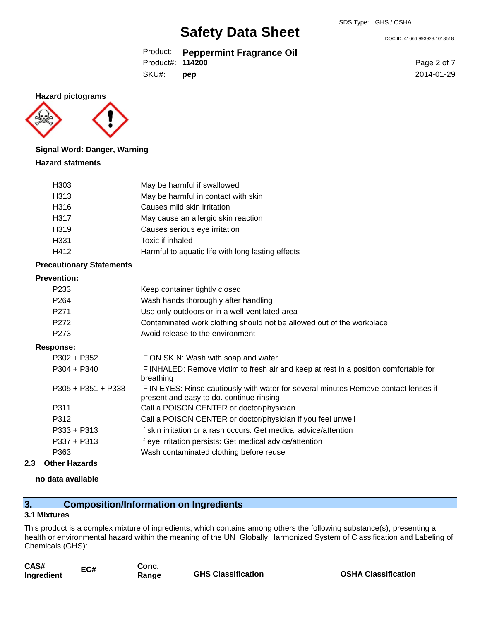Product: **Peppermint Fragrance Oil**

Product#: **114200**

SKU#: **pep** Page 2 of 7 2014-01-29

DOC ID: 41666.993928.1013518

**Hazard pictograms**



#### **Signal Word: Danger, Warning**

#### **Hazard statments**

| H <sub>303</sub> | May be harmful if swallowed                       |
|------------------|---------------------------------------------------|
| H313             | May be harmful in contact with skin               |
| H316             | Causes mild skin irritation                       |
| H317             | May cause an allergic skin reaction               |
| H319             | Causes serious eye irritation                     |
| H331             | Toxic if inhaled                                  |
| H412             | Harmful to aquatic life with long lasting effects |

#### **Precautionary Statements**

#### **Prevention:**

| I I GV GI ILIVII.    |                                                                                                                                  |
|----------------------|----------------------------------------------------------------------------------------------------------------------------------|
| P <sub>2</sub> 33    | Keep container tightly closed                                                                                                    |
| P <sub>264</sub>     | Wash hands thoroughly after handling                                                                                             |
| P <sub>271</sub>     | Use only outdoors or in a well-ventilated area                                                                                   |
| P <sub>272</sub>     | Contaminated work clothing should not be allowed out of the workplace                                                            |
| P <sub>273</sub>     | Avoid release to the environment                                                                                                 |
| Response:            |                                                                                                                                  |
| $P302 + P352$        | IF ON SKIN: Wash with soap and water                                                                                             |
| $P304 + P340$        | IF INHALED: Remove victim to fresh air and keep at rest in a position comfortable for<br>breathing                               |
| $P305 + P351 + P338$ | IF IN EYES: Rinse cautiously with water for several minutes Remove contact lenses if<br>present and easy to do. continue rinsing |
| P311                 | Call a POISON CENTER or doctor/physician                                                                                         |
| ר 10 מ               | Call a DOISON CENTER or dooter/physician if you feel upwell                                                                      |

- P312 Call a POISON CENTER or doctor/physician if you feel unwell
- P333 + P313 If skin irritation or a rash occurs: Get medical advice/attention
- P337 + P313 If eye irritation persists: Get medical advice/attention
- P363 Wash contaminated clothing before reuse
- **2.3 Other Hazards**

#### **no data available**

#### **3. Composition/Information on Ingredients**

#### **3.1 Mixtures**

This product is a complex mixture of ingredients, which contains among others the following substance(s), presenting a health or environmental hazard within the meaning of the UN Globally Harmonized System of Classification and Labeling of Chemicals (GHS):

| CAS#       | EC# | Conc. |                           |
|------------|-----|-------|---------------------------|
| Ingredient |     | Range | <b>GHS Classification</b> |

**In Industrial COSHA Classification**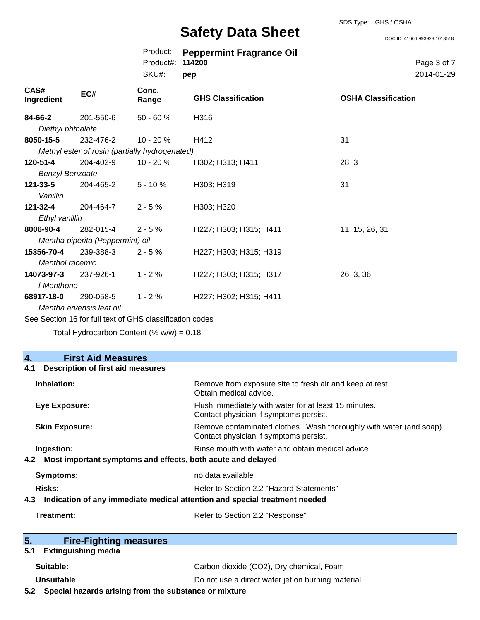DOC ID: 41666.993928.1013518

|                        |                                  | Product:<br>Product#:                          | <b>Peppermint Fragrance Oil</b><br>114200 | Page 3 of 7                |
|------------------------|----------------------------------|------------------------------------------------|-------------------------------------------|----------------------------|
|                        |                                  | SKU#:                                          | pep                                       | 2014-01-29                 |
| CAS#<br>Ingredient     | EC#                              | Conc.<br>Range                                 | <b>GHS Classification</b>                 | <b>OSHA Classification</b> |
| 84-66-2                | 201-550-6                        | $50 - 60 %$                                    | H316                                      |                            |
| Diethyl phthalate      |                                  |                                                |                                           |                            |
| 8050-15-5              | 232-476-2                        | $10 - 20%$                                     | H412                                      | 31                         |
|                        |                                  | Methyl ester of rosin (partially hydrogenated) |                                           |                            |
| 120-51-4               | 204-402-9                        | $10 - 20%$                                     | H302; H313; H411                          | 28, 3                      |
| <b>Benzyl Benzoate</b> |                                  |                                                |                                           |                            |
| $121 - 33 - 5$         | 204-465-2                        | $5 - 10%$                                      | H303; H319                                | 31                         |
| Vanillin               |                                  |                                                |                                           |                            |
| 121-32-4               | 204-464-7                        | $2 - 5%$                                       | H303; H320                                |                            |
| Ethyl vanillin         |                                  |                                                |                                           |                            |
| 8006-90-4              | 282-015-4                        | $2 - 5%$                                       | H227; H303; H315; H411                    | 11, 15, 26, 31             |
|                        | Mentha piperita (Peppermint) oil |                                                |                                           |                            |
| 15356-70-4             | 239-388-3                        | $2 - 5%$                                       | H227; H303; H315; H319                    |                            |
| <b>Menthol racemic</b> |                                  |                                                |                                           |                            |
| 14073-97-3             | 237-926-1                        | $1 - 2%$                                       | H227; H303; H315; H317                    | 26, 3, 36                  |
| I-Menthone             |                                  |                                                |                                           |                            |
| 68917-18-0             | 290-058-5                        | $1 - 2%$                                       | H227; H302; H315; H411                    |                            |
|                        | Mentha arvensis leaf oil         |                                                |                                           |                            |

See Section 16 for full text of GHS classification codes

Total Hydrocarbon Content  $(\% w/w) = 0.18$ 

| 4.<br><b>First Aid Measures</b>                                                   |                                                                                                               |
|-----------------------------------------------------------------------------------|---------------------------------------------------------------------------------------------------------------|
| <b>Description of first aid measures</b><br>4.1                                   |                                                                                                               |
| Inhalation:                                                                       | Remove from exposure site to fresh air and keep at rest.<br>Obtain medical advice.                            |
| Eye Exposure:                                                                     | Flush immediately with water for at least 15 minutes.<br>Contact physician if symptoms persist.               |
| <b>Skin Exposure:</b>                                                             | Remove contaminated clothes. Wash thoroughly with water (and soap).<br>Contact physician if symptoms persist. |
| Ingestion:                                                                        | Rinse mouth with water and obtain medical advice.                                                             |
| Most important symptoms and effects, both acute and delayed<br>4.2                |                                                                                                               |
| Symptoms:                                                                         | no data available                                                                                             |
| Risks:                                                                            | Refer to Section 2.2 "Hazard Statements"                                                                      |
| Indication of any immediate medical attention and special treatment needed<br>4.3 |                                                                                                               |
| Treatment:                                                                        | Refer to Section 2.2 "Response"                                                                               |
| 5.<br><b>Fire-Fighting measures</b>                                               |                                                                                                               |
| <b>Extinguishing media</b><br>5.1                                                 |                                                                                                               |

Suitable: Carbon dioxide (CO2), Dry chemical, Foam **Unsuitable Do not use a direct water jet on burning material** 

**5.2 Special hazards arising from the substance or mixture**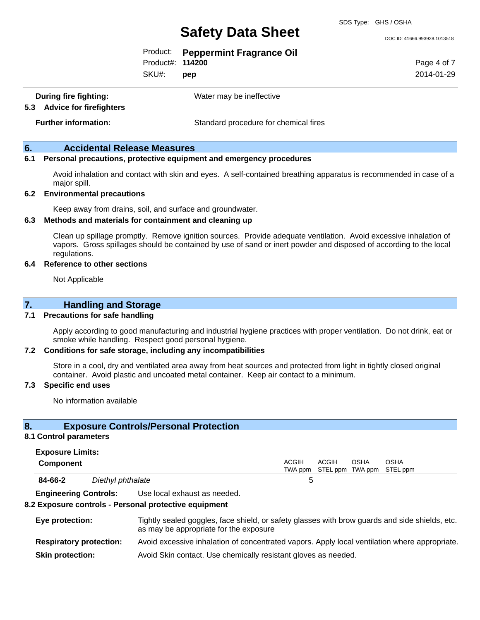DOC ID: 41666.993928.1013518

|                  | Product: Peppermint Fragrance Oil |
|------------------|-----------------------------------|
| Product#: 114200 |                                   |

SKU#: **pep** Page 4 of 7 2014-01-29

**During fire fighting:** Water may be ineffective

**5.3 Advice for firefighters**

**Further information:** Standard procedure for chemical fires

#### **6. Accidental Release Measures**

#### **6.1 Personal precautions, protective equipment and emergency procedures**

Avoid inhalation and contact with skin and eyes. A self-contained breathing apparatus is recommended in case of a major spill.

#### **6.2 Environmental precautions**

Keep away from drains, soil, and surface and groundwater.

#### **6.3 Methods and materials for containment and cleaning up**

Clean up spillage promptly. Remove ignition sources. Provide adequate ventilation. Avoid excessive inhalation of vapors. Gross spillages should be contained by use of sand or inert powder and disposed of according to the local regulations.

#### **6.4 Reference to other sections**

Not Applicable

#### **7. Handling and Storage**

#### **7.1 Precautions for safe handling**

Apply according to good manufacturing and industrial hygiene practices with proper ventilation. Do not drink, eat or smoke while handling. Respect good personal hygiene.

#### **7.2 Conditions for safe storage, including any incompatibilities**

Store in a cool, dry and ventilated area away from heat sources and protected from light in tightly closed original container. Avoid plastic and uncoated metal container. Keep air contact to a minimum.

#### **7.3 Specific end uses**

No information available

#### **8. Exposure Controls/Personal Protection**

#### **8.1 Control parameters**

| <b>Exposure Limits:</b> |  |
|-------------------------|--|
|-------------------------|--|

| <b>Component</b> |                   | <b>ACGIH</b> | ACGIH<br>TWA ppm STEL ppm TWA ppm STEL ppm | OSHA | <b>OSHA</b> |  |
|------------------|-------------------|--------------|--------------------------------------------|------|-------------|--|
| 84-66-2          | Diethyl phthalate |              |                                            |      |             |  |

**Engineering Controls:** Use local exhaust as needed.

#### **8.2 Exposure controls - Personal protective equipment**

| Eye protection:                | Tightly sealed goggles, face shield, or safety glasses with brow guards and side shields, etc.<br>as may be appropriate for the exposure |
|--------------------------------|------------------------------------------------------------------------------------------------------------------------------------------|
| <b>Respiratory protection:</b> | Avoid excessive inhalation of concentrated vapors. Apply local ventilation where appropriate.                                            |
| <b>Skin protection:</b>        | Avoid Skin contact. Use chemically resistant gloves as needed.                                                                           |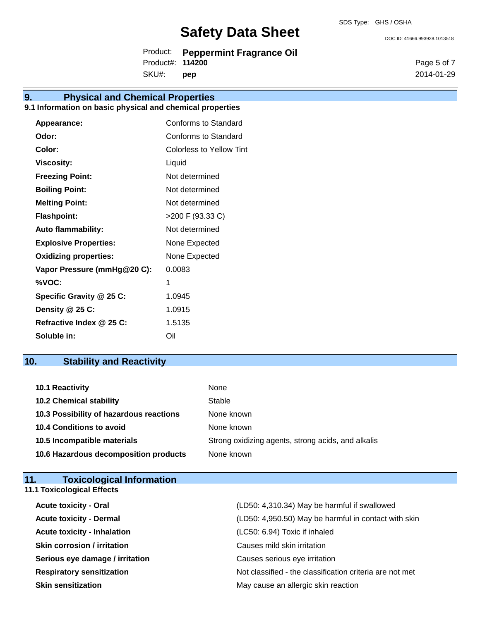Product: **Peppermint Fragrance Oil** Product#: **114200**

SKU#: **pep**

### **9. Physical and Chemical Properties**

#### **9.1 Information on basic physical and chemical properties**

| Appearance:                  | Conforms to Standard     |
|------------------------------|--------------------------|
| Odor:                        | Conforms to Standard     |
| Color:                       | Colorless to Yellow Tint |
| Viscosity:                   | Liquid                   |
| <b>Freezing Point:</b>       | Not determined           |
| <b>Boiling Point:</b>        | Not determined           |
| <b>Melting Point:</b>        | Not determined           |
| <b>Flashpoint:</b>           | >200 F (93.33 C)         |
| <b>Auto flammability:</b>    | Not determined           |
| <b>Explosive Properties:</b> | None Expected            |
| <b>Oxidizing properties:</b> | None Expected            |
| Vapor Pressure (mmHg@20 C):  | 0.0083                   |
| %VOC:                        | 1                        |
| Specific Gravity @ 25 C:     | 1.0945                   |
| Density @ 25 C:              | 1.0915                   |
| Refractive Index @ 25 C:     | 1.5135                   |
| Soluble in:                  | Oil                      |

### **10. Stability and Reactivity**

| <b>10.1 Reactivity</b>                  | None                                               |
|-----------------------------------------|----------------------------------------------------|
| <b>10.2 Chemical stability</b>          | Stable                                             |
| 10.3 Possibility of hazardous reactions | None known                                         |
| <b>10.4 Conditions to avoid</b>         | None known                                         |
| 10.5 Incompatible materials             | Strong oxidizing agents, strong acids, and alkalis |
| 10.6 Hazardous decomposition products   | None known                                         |

| <b>Toxicological Information</b><br>11. |                                                          |
|-----------------------------------------|----------------------------------------------------------|
| <b>11.1 Toxicological Effects</b>       |                                                          |
| <b>Acute toxicity - Oral</b>            | (LD50: 4,310.34) May be harmful if swallowed             |
| <b>Acute toxicity - Dermal</b>          | (LD50: 4,950.50) May be harmful in contact with skin     |
| <b>Acute toxicity - Inhalation</b>      | (LC50: 6.94) Toxic if inhaled                            |
| <b>Skin corrosion / irritation</b>      | Causes mild skin irritation                              |
| Serious eye damage / irritation         | Causes serious eye irritation                            |
| <b>Respiratory sensitization</b>        | Not classified - the classification criteria are not met |
| <b>Skin sensitization</b>               | May cause an allergic skin reaction                      |

Page 5 of 7 2014-01-29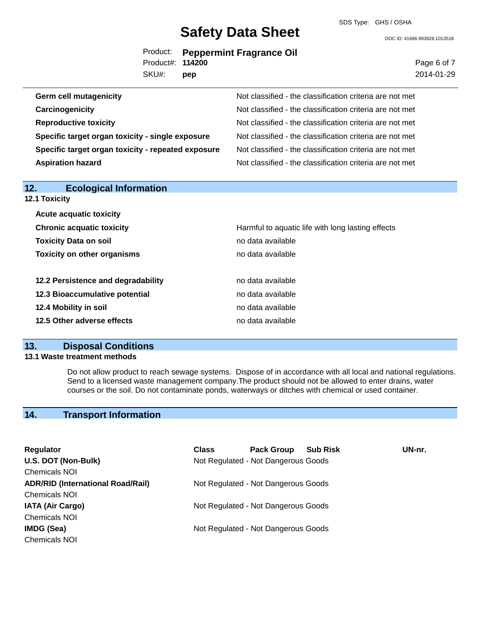DOC ID: 41666.993928.1013518

|                  | Product: Peppermint Fragrance Oil |
|------------------|-----------------------------------|
| Product#: 114200 |                                   |
| SKU#: <b>pep</b> |                                   |

**pep Germ cell mutagenicity Not classified - the classification criteria are not met Carcinogenicity Carcinogenicity Not classified - the classification criteria are not met Reproductive toxicity** Not classified - the classification criteria are not met **Specific target organ toxicity - single exposure** Not classified - the classification criteria are not met **Specific target organ toxicity - repeated exposure** Not classified - the classification criteria are not met Aspiration hazard<br>
Not classified - the classification criteria are not met

| 12.<br><b>Ecological Information</b> |                                                   |
|--------------------------------------|---------------------------------------------------|
| <b>12.1 Toxicity</b>                 |                                                   |
| <b>Acute acquatic toxicity</b>       |                                                   |
| <b>Chronic acquatic toxicity</b>     | Harmful to aquatic life with long lasting effects |
| <b>Toxicity Data on soil</b>         | no data available                                 |
| <b>Toxicity on other organisms</b>   | no data available                                 |
| 12.2 Persistence and degradability   | no data available                                 |
| 12.3 Bioaccumulative potential       | no data available                                 |
| 12.4 Mobility in soil                | no data available                                 |
| 12.5 Other adverse effects           | no data available                                 |

#### **13. Disposal Conditions**

#### **13.1 Waste treatment methods**

Do not allow product to reach sewage systems. Dispose of in accordance with all local and national regulations. Send to a licensed waste management company.The product should not be allowed to enter drains, water courses or the soil. Do not contaminate ponds, waterways or ditches with chemical or used container.

#### **14. Transport Information**

| Regulator                                | <b>Class</b> | <b>Pack Group</b>                   | <b>Sub Risk</b> | UN-nr. |
|------------------------------------------|--------------|-------------------------------------|-----------------|--------|
| U.S. DOT (Non-Bulk)                      |              | Not Regulated - Not Dangerous Goods |                 |        |
| <b>Chemicals NOI</b>                     |              |                                     |                 |        |
| <b>ADR/RID (International Road/Rail)</b> |              | Not Regulated - Not Dangerous Goods |                 |        |
| <b>Chemicals NOI</b>                     |              |                                     |                 |        |
| <b>IATA (Air Cargo)</b>                  |              | Not Regulated - Not Dangerous Goods |                 |        |
| <b>Chemicals NOI</b>                     |              |                                     |                 |        |
| IMDG (Sea)                               |              | Not Regulated - Not Dangerous Goods |                 |        |
| <b>Chemicals NOI</b>                     |              |                                     |                 |        |

Page 6 of 7

2014-01-29